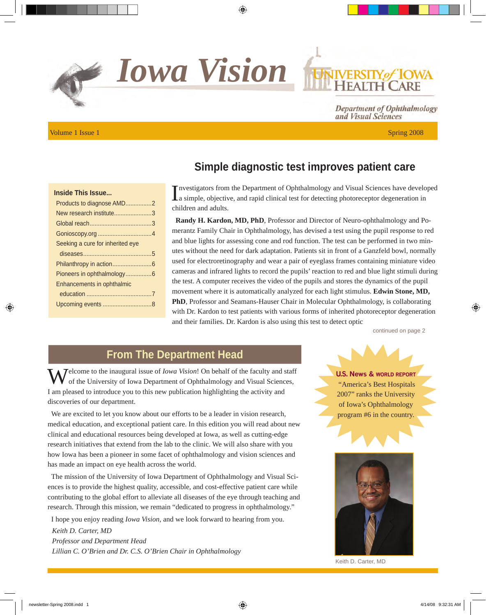*Iowa Vision*

Volume 1 Issue 1 Spring 2008

#### **Simple diagnostic test improves patient care**

Investigators from the Department of Ophthalmology and Visual Sciences have develogies as imple, objective, and rapid clinical test for detecting photoreceptor degeneration in nvestigators from the Department of Ophthalmology and Visual Sciences have developed children and adults.

**Randy H. Kardon, MD, PhD**, Professor and Director of Neuro-ophthalmology and Pomerantz Family Chair in Ophthalmology, has devised a test using the pupil response to red and blue lights for assessing cone and rod function. The test can be performed in two minutes without the need for dark adaptation. Patients sit in front of a Ganzfeld bowl, normally used for electroretinography and wear a pair of eyeglass frames containing miniature video cameras and infrared lights to record the pupils' reaction to red and blue light stimuli during the test. A computer receives the video of the pupils and stores the dynamics of the pupil movement where it is automatically analyzed for each light stimulus. **Edwin Stone, MD, PhD**, Professor and Seamans-Hauser Chair in Molecular Ophthalmology, is collaborating with Dr. Kardon to test patients with various forms of inherited photoreceptor degeneration and their families. Dr. Kardon is also using this test to detect optic

continued on page 2

Department of Ophthalmology

and Visual Sciences

#### **From The Department Head**

**Telcome to the inaugural issue of** *Iowa Vision***! On behalf of the faculty and staff** of the University of Iowa Department of Ophthalmology and Visual Sciences, I am pleased to introduce you to this new publication highlighting the activity and discoveries of our department.

We are excited to let you know about our efforts to be a leader in vision research, medical education, and exceptional patient care. In this edition you will read about new clinical and educational resources being developed at Iowa, as well as cutting-edge research initiatives that extend from the lab to the clinic. We will also share with you how Iowa has been a pioneer in some facet of ophthalmology and vision sciences and has made an impact on eye health across the world.

The mission of the University of Iowa Department of Ophthalmology and Visual Sciences is to provide the highest quality, accessible, and cost-effective patient care while contributing to the global effort to alleviate all diseases of the eye through teaching and research. Through this mission, we remain "dedicated to progress in ophthalmology."

I hope you enjoy reading *Iowa Vision,* and we look forward to hearing from you.

*Keith D. Carter, MD Professor and Department Head Lillian C. O'Brien and Dr. C.S. O'Brien Chair in Ophthalmology* **U.S. News & WORLD REPORT** "America's Best Hospitals 2007" ranks the University of Iowa's Ophthalmology program #6 in the country.



Keith D. Carter, MD

## **Inside This Issue...**

| Products to diagnose AMD2        |  |
|----------------------------------|--|
| New research institute3          |  |
|                                  |  |
|                                  |  |
| Seeking a cure for inherited eye |  |
|                                  |  |
|                                  |  |
| Pioneers in ophthalmology6       |  |
| Enhancements in ophthalmic       |  |
|                                  |  |
|                                  |  |
|                                  |  |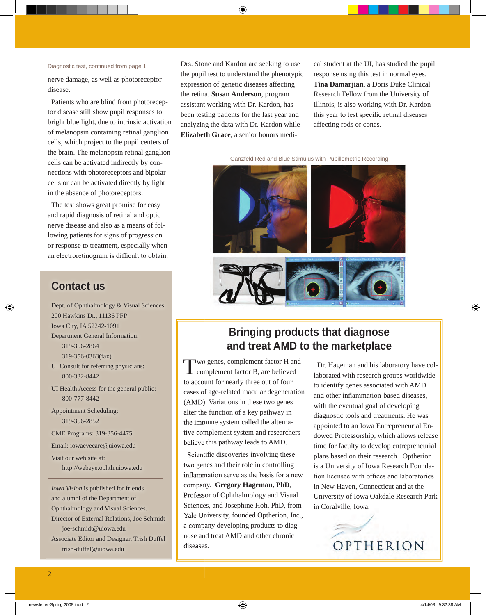nerve damage, as well as photoreceptor disease.

Patients who are blind from photoreceptor disease still show pupil responses to bright blue light, due to intrinsic activation of melanopsin containing retinal ganglion cells, which project to the pupil centers of the brain. The melanopsin retinal ganglion cells can be activated indirectly by connections with photoreceptors and bipolar cells or can be activated directly by light in the absence of photoreceptors.

The test shows great promise for easy and rapid diagnosis of retinal and optic nerve disease and also as a means of following patients for signs of progression or response to treatment, especially when an electroretinogram is difficult to obtain.

#### **Contact us**

Dept. of Ophthalmology & Visual Sciences 200 Hawkins Dr., 11136 PFP Iowa City, IA 52242-1091 Department General Information: 319-356-2864 319-356-0363(fax) UI Consult for referring physicians: 800-332-8442 UI Health Access for the general public: 800-777-8442 Appointment Scheduling: 319-356-2852 CME Programs: 319-356-4475 [Email: iowaeyecare@uiowa.edu](mailto:iowaeyecare@uiowa.edu)

Visit our web site at: <http://webeye.ophth.uiowa.edu>

*Iowa Vision* is published for friends and alumni of the Department of Ophthalmology and Visual Sciences. Director of External Relations, Joe Schmidt [joe-schmidt@uiowa.edu](mailto:joe-schmidt@uiowa.edu) Associate Editor and Designer, Trish Duffel [trish-duffel@uiowa.edu](mailto:joe-schmidt@uiowa.edu)

Drs. Stone and Kardon are seeking to use the pupil test to understand the phenotypic expression of genetic diseases affecting the retina. **Susan Anderson**, program assistant working with Dr. Kardon, has been testing patients for the last year and analyzing the data with Dr. Kardon while **Elizabeth Grace**, a senior honors medi-

Diagnostic test, continued from page 1 **Call Strategy Contract at the UI**, has studied the pupil response using this test in normal eyes. **Tina Damarjian**, a Doris Duke Clinical Research Fellow from the University of Illinois, is also working with Dr. Kardon this year to test specific retinal diseases affecting rods or cones.

Ganzfeld Red and Blue Stimulus with Pupillometric Recording



## **Bringing products that diagnose and treat AMD to the marketplace**

Two genes, complement factor H and complement factor B, are believed to account for nearly three out of four cases of age-related macular degeneration (AMD). Variations in these two genes alter the function of a key pathway in the immune system called the alternative complement system and researchers believe this pathway leads to AMD.

Scientific discoveries involving these two genes and their role in controlling inflammation serve as the basis for a new company. **Gregory Hageman, PhD**, Professor of Ophthalmology and Visual Sciences, and Josephine Hoh, PhD, from Yale University, founded Optherion, Inc., a company developing products to diagnose and treat AMD and other chronic diseases.

Dr. Hageman and his laboratory have collaborated with research groups worldwide to identify genes associated with AMD and other inflammation-based diseases, with the eventual goal of developing diagnostic tools and treatments. He was appointed to an Iowa Entrepreneurial Endowed Professorship, which allows release time for faculty to develop entrepreneurial plans based on their research. Optherion is a University of Iowa Research Foundation licensee with offices and laboratories in New Haven, Connecticut and at the University of Iowa Oakdale Research Park in Coralville, Iowa.

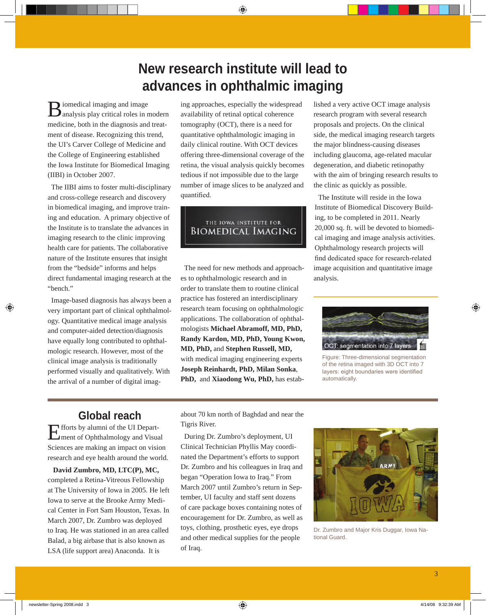# **New research institute will lead to advances in ophthalmic imaging**

 $\mathbf{B}$  iomedical imaging and image<br>analysis play critical roles in modern medicine, both in the diagnosis and treatment of disease. Recognizing this trend, the UI's Carver College of Medicine and the College of Engineering established the Iowa Institute for Biomedical Imaging (IIBI) in October 2007.

The IIBI aims to foster multi-disciplinary and cross-college research and discovery in biomedical imaging, and improve training and education. A primary objective of the Institute is to translate the advances in imaging research to the clinic improving health care for patients. The collaborative nature of the Institute ensures that insight from the "bedside" informs and helps direct fundamental imaging research at the "bench."

Image-based diagnosis has always been a very important part of clinical ophthalmology. Quantitative medical image analysis and computer-aided detection/diagnosis have equally long contributed to ophthalmologic research. However, most of the clinical image analysis is traditionally performed visually and qualitatively. With the arrival of a number of digital imag-

ing approaches, especially the widespread availability of retinal optical coherence tomography (OCT), there is a need for quantitative ophthalmologic imaging in daily clinical routine. With OCT devices offering three-dimensional coverage of the retina, the visual analysis quickly becomes tedious if not impossible due to the large number of image slices to be analyzed and quantified.

#### THE IOWA INSTITUTE FOR **BIOMEDICAL IMAGING**

The need for new methods and approaches to ophthalmologic research and in order to translate them to routine clinical practice has fostered an interdisciplinary research team focusing on ophthalmologic applications. The collaboration of ophthalmologists **Michael Abramoff, MD, PhD, Randy Kardon, MD, PhD, Young Kwon, MD, PhD,** and **Stephen Russell, MD,** with medical imaging engineering experts **Joseph Reinhardt, PhD, Milan Sonka**, **PhD,** and **Xiaodong Wu, PhD,** has estab-

lished a very active OCT image analysis research program with several research proposals and projects. On the clinical side, the medical imaging research targets the major blindness-causing diseases including glaucoma, age-related macular degeneration, and diabetic retinopathy with the aim of bringing research results to the clinic as quickly as possible.

The Institute will reside in the Iowa Institute of Biomedical Discovery Building, to be completed in 2011. Nearly 20,000 sq. ft. will be devoted to biomedical imaging and image analysis activities. Ophthalmology research projects will find dedicated space for research-related image acquisition and quantitative image analysis.



Figure: Three-dimensional segmentation of the retina imaged with 3D OCT into 7 layers: eight boundaries were identified automatically.

## **Global reach**

Efforts by alumni of the UI Department of Ophthalmology and Visual Sciences are making an impact on vision research and eye health around the world.

**David Zumbro, MD, LTC(P), MC,**  completed a Retina-Vitreous Fellowship at The University of Iowa in 2005. He left Iowa to serve at the Brooke Army Medical Center in Fort Sam Houston, Texas. In March 2007, Dr. Zumbro was deployed to Iraq. He was stationed in an area called Balad, a big airbase that is also known as LSA (life support area) Anaconda. It is

about 70 km north of Baghdad and near the Tigris River.

During Dr. Zumbro's deployment, UI Clinical Technician Phyllis May coordinated the Department's efforts to support Dr. Zumbro and his colleagues in Iraq and began "Operation Iowa to Iraq." From March 2007 until Zumbro's return in September, UI faculty and staff sent dozens of care package boxes containing notes of encouragement for Dr. Zumbro, as well as toys, clothing, prosthetic eyes, eye drops and other medical supplies for the people of Iraq.



Dr. Zumbro and Major Kris Duggar, Iowa National Guard.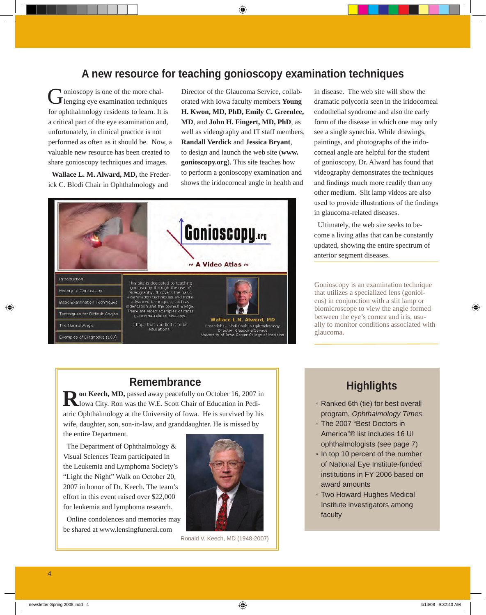## **A new resource for teaching gonioscopy examination techniques**

Gonioscopy is one of the more chal-<br>lenging eye examination techniques for ophthalmology residents to learn. It is a critical part of the eye examination and, unfortunately, in clinical practice is not performed as often as it should be. Now, a valuable new resource has been created to share gonioscopy techniques and images.

**Wallace L. M. Alward, MD,** the Frederick C. Blodi Chair in Ophthalmology and

Director of the Glaucoma Service, collaborated with Iowa faculty members **Young H. Kwon, MD, PhD, Emily C. Greenlee, MD**, and **John H. Fingert, MD, PhD**, as well as videography and IT staff members, **Randall Verdick** and **Jessica Bryant**, [to design and launch the web site \(](http://www.gonioscopy.org)**www. gonioscopy.org**). This site teaches how to perform a gonioscopy examination and shows the iridocorneal angle in health and



in disease. The web site will show the dramatic polycoria seen in the iridocorneal endothelial syndrome and also the early form of the disease in which one may only see a single synechia. While drawings, paintings, and photographs of the iridocorneal angle are helpful for the student of gonioscopy, Dr. Alward has found that videography demonstrates the techniques and findings much more readily than any other medium. Slit lamp videos are also used to provide illustrations of the findings in glaucoma-related diseases.

Ultimately, the web site seeks to become a living atlas that can be constantly updated, showing the entire spectrum of anterior segment diseases.

Gonioscopy is an examination technique that utilizes a specialized lens (goniolens) in conjunction with a slit lamp or biomicroscope to view the angle formed between the eye's cornea and iris, usually to monitor conditions associated with glaucoma.

#### **Remembrance**

**Ron Keech, MD,** passed away peacefully on October 16, 2007 in Iowa City. Ron was the W.E. Scott Chair of Education in Pediatric Ophthalmology at the University of Iowa. He is survived by his wife, daughter, son, son-in-law, and granddaughter. He is missed by

the entire Department.

The Department of Ophthalmology & Visual Sciences Team participated in the Leukemia and Lymphoma Society's "Light the Night" Walk on October 20, 2007 in honor of Dr. Keech. The team's effort in this event raised over \$22,000 for leukemia and lymphoma research.

Online condolences and memories may be shared at [www.lensingfuneral.com](http://www.lensingfuneral.com)



Ronald V. Keech, MD (1948-2007)

## **Highlights**

- Ranked 6th (tie) for best overall program, *Ophthalmology Times*
- The 2007 "Best Doctors in America"® list includes 16 UI ophthalmologists (see page 7)
- In top 10 percent of the number of National Eye Institute-funded institutions in FY 2006 based on award amounts
- Two Howard Hughes Medical Institute investigators among faculty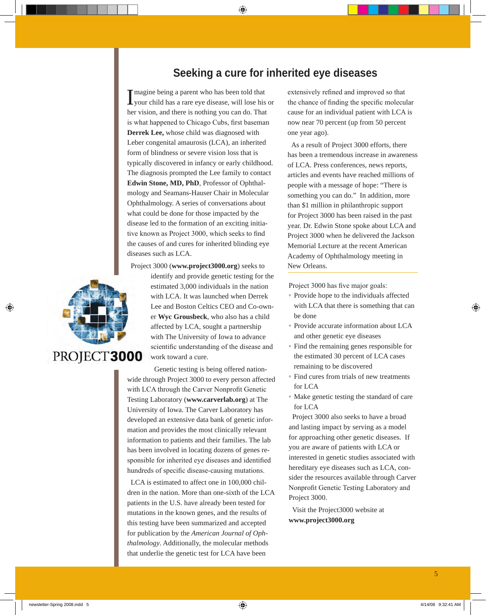## **Seeking a cure for inherited eye diseases**

Imagine being a parent who has been told that<br>your child has a rare eye disease, will lose his or magine being a parent who has been told that her vision, and there is nothing you can do. That is what happened to Chicago Cubs, first baseman **Derrek Lee,** whose child was diagnosed with Leber congenital amaurosis (LCA), an inherited form of blindness or severe vision loss that is typically discovered in infancy or early childhood. The diagnosis prompted the Lee family to contact **Edwin Stone, MD, PhD**, Professor of Ophthalmology and Seamans-Hauser Chair in Molecular Ophthalmology. A series of conversations about what could be done for those impacted by the disease led to the formation of an exciting initiative known as Project 3000, which seeks to find the causes of and cures for inherited blinding eye diseases such as LCA.

Project 3000 (**www.project3000.org**) seeks to



estimated 3,000 individuals in the nation with LCA. It was launched when Derrek Lee and Boston Celtics CEO and Co-owner **Wyc Grousbeck**, who also has a child affected by LCA, sought a partnership with The University of Iowa to advance scientific understanding of the disease and work toward a cure.

identify and provide genetic testing for the

Genetic testing is being offered nationwide through Project 3000 to every person affected with LCA through the Carver Nonprofit Genetic Testing Laboratory (**www.carverlab.org**) at The University of Iowa. The Carver Laboratory has developed an extensive data bank of genetic information and provides the most clinically relevant information to patients and their families. The lab has been involved in locating dozens of genes responsible for inherited eye diseases and identified hundreds of specific disease-causing mutations.

LCA is estimated to affect one in 100,000 children in the nation. More than one-sixth of the LCA patients in the U.S. have already been tested for mutations in the known genes, and the results of this testing have been summarized and accepted for publication by the *American Journal of Ophthalmology*. Additionally, the molecular methods that underlie the genetic test for LCA have been

extensively refined and improved so that the chance of finding the specific molecular cause for an individual patient with LCA is now near 70 percent (up from 50 percent one year ago).

As a result of Project 3000 efforts, there has been a tremendous increase in awareness of LCA. Press conferences, news reports, articles and events have reached millions of people with a message of hope: "There is something you can do." In addition, more than \$1 million in philanthropic support for Project 3000 has been raised in the past year. Dr. Edwin Stone spoke about LCA and Project 3000 when he delivered the Jackson Memorial Lecture at the recent American Academy of Ophthalmology meeting in New Orleans.

Project 3000 has five major goals:

- Provide hope to the individuals affected with LCA that there is something that can be done
- Provide accurate information about LCA and other genetic eye diseases
- Find the remaining genes responsible for the estimated 30 percent of LCA cases remaining to be discovered
- Find cures from trials of new treatments for LCA
- Make genetic testing the standard of care for LCA

Project 3000 also seeks to have a broad and lasting impact by serving as a model for approaching other genetic diseases. If you are aware of patients with LCA or interested in genetic studies associated with hereditary eye diseases such as LCA, consider the resources available through Carver Nonprofit Genetic Testing Laboratory and Project 3000.

Visit the Project3000 website at **www.project3000.org**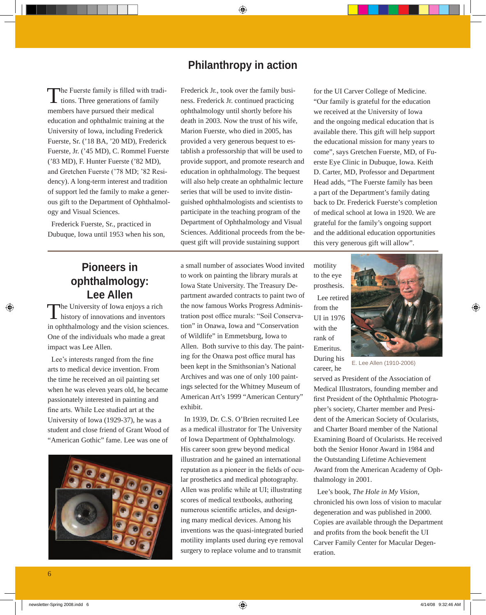## **Philanthropy in action**

The Fuerste family is filled with tradi-<br>tions. Three generations of family members have pursued their medical education and ophthalmic training at the University of Iowa, including Frederick Fuerste, Sr. ('18 BA, '20 MD), Frederick Fuerste, Jr. ('45 MD), C. Rommel Fuerste ('83 MD), F. Hunter Fuerste ('82 MD), and Gretchen Fuerste ('78 MD; '82 Residency). A long-term interest and tradition of support led the family to make a generous gift to the Department of Ophthalmology and Visual Sciences.

Frederick Fuerste, Sr., practiced in Dubuque, Iowa until 1953 when his son,

#### Frederick Jr., took over the family business. Frederick Jr. continued practicing ophthalmology until shortly before his death in 2003. Now the trust of his wife, Marion Fuerste, who died in 2005, has provided a very generous bequest to establish a professorship that will be used to provide support, and promote research and education in ophthalmology. The bequest will also help create an ophthalmic lecture series that will be used to invite distinguished ophthalmologists and scientists to participate in the teaching program of the Department of Ophthalmology and Visual Sciences. Additional proceeds from the bequest gift will provide sustaining support

## **Pioneers in ophthalmology: Lee Allen**

The University of Iowa enjoys a rich<br>history of innovations and inventors in ophthalmology and the vision sciences. One of the individuals who made a great impact was Lee Allen.

Lee's interests ranged from the fine arts to medical device invention. From the time he received an oil painting set when he was eleven years old, he became passionately interested in painting and fine arts. While Lee studied art at the University of Iowa (1929-37), he was a student and close friend of Grant Wood of "American Gothic" fame. Lee was one of



a small number of associates Wood invited to work on painting the library murals at Iowa State University. The Treasury Department awarded contracts to paint two of the now famous Works Progress Administration post office murals: "Soil Conservation" in Onawa, Iowa and "Conservation of Wildlife" in Emmetsburg, Iowa to Allen. Both survive to this day. The painting for the Onawa post office mural has been kept in the Smithsonian's National Archives and was one of only 100 paintings selected for the Whitney Museum of American Art's 1999 "American Century" exhibit.

In 1939, Dr. C.S. O'Brien recruited Lee as a medical illustrator for The University of Iowa Department of Ophthalmology. His career soon grew beyond medical illustration and he gained an international reputation as a pioneer in the fields of ocular prosthetics and medical photography. Allen was prolific while at UI; illustrating scores of medical textbooks, authoring numerous scientific articles, and designing many medical devices. Among his inventions was the quasi-integrated buried motility implants used during eye removal surgery to replace volume and to transmit

for the UI Carver College of Medicine. "Our family is grateful for the education we received at the University of Iowa and the ongoing medical education that is available there. This gift will help support the educational mission for many years to come", says Gretchen Fuerste, MD, of Fuerste Eye Clinic in Dubuque, Iowa. Keith D. Carter, MD, Professor and Department Head adds, "The Fuerste family has been a part of the Department's family dating back to Dr. Frederick Fuerste's completion of medical school at Iowa in 1920. We are grateful for the family's ongoing support and the additional education opportunities this very generous gift will allow".

motility to the eye prosthesis. Lee retired from the UI in 1976 with the rank of Emeritus. During his career, he



E. Lee Allen (1910-2006)

served as President of the Association of Medical Illustrators, founding member and first President of the Ophthalmic Photographer's society, Charter member and President of the American Society of Ocularists, and Charter Board member of the National Examining Board of Ocularists. He received both the Senior Honor Award in 1984 and the Outstanding Lifetime Achievement Award from the American Academy of Ophthalmology in 2001.

Lee's book, *The Hole in My Vision*, chronicled his own loss of vision to macular degeneration and was published in 2000. Copies are available through the Department and profits from the book benefit the UI Carver Family Center for Macular Degeneration.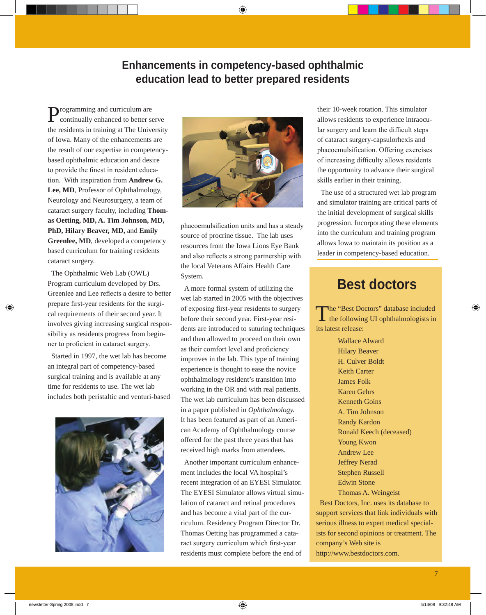## **Enhancements in competency-based ophthalmic education lead to better prepared residents**

**Programming and curriculum are** continually enhanced to better serve the residents in training at The University of Iowa. Many of the enhancements are the result of our expertise in competencybased ophthalmic education and desire to provide the finest in resident education. With inspiration from **Andrew G. Lee, MD**, Professor of Ophthalmology, Neurology and Neurosurgery, a team of cataract surgery faculty, including **Thomas Oetting, MD, A. Tim Johnson, MD, PhD, Hilary Beaver, MD,** and **Emily Greenlee, MD**, developed a competency based curriculum for training residents cataract surgery.

The Ophthalmic Web Lab (OWL) Program curriculum developed by Drs. Greenlee and Lee reflects a desire to better prepare first-year residents for the surgical requirements of their second year. It involves giving increasing surgical responsibility as residents progress from beginner to proficient in cataract surgery.

Started in 1997, the wet lab has become an integral part of competency-based surgical training and is available at any time for residents to use. The wet lab includes both peristaltic and venturi-based





phacoemulsification units and has a steady source of procrine tissue. The lab uses resources from the Iowa Lions Eye Bank and also reflects a strong partnership with the local Veterans Affairs Health Care System.

A more formal system of utilizing the wet lab started in 2005 with the objectives of exposing first-year residents to surgery before their second year. First-year residents are introduced to suturing techniques and then allowed to proceed on their own as their comfort level and proficiency improves in the lab. This type of training experience is thought to ease the novice ophthalmology resident's transition into working in the OR and with real patients. The wet lab curriculum has been discussed in a paper published in *Ophthalmology.* It has been featured as part of an American Academy of Ophthalmology course offered for the past three years that has received high marks from attendees.

Another important curriculum enhancement includes the local VA hospital's recent integration of an EYESI Simulator. The EYESI Simulator allows virtual simulation of cataract and retinal procedures and has become a vital part of the curriculum. Residency Program Director Dr. Thomas Oetting has programmed a cataract surgery curriculum which first-year residents must complete before the end of

their 10-week rotation. This simulator allows residents to experience intraocular surgery and learn the difficult steps of cataract surgery-capsulorhexis and phacoemulsification. Offering exercises of increasing difficulty allows residents the opportunity to advance their surgical skills earlier in their training.

The use of a structured wet lab program and simulator training are critical parts of the initial development of surgical skills progression. Incorporating these elements into the curriculum and training program allows Iowa to maintain its position as a leader in competency-based education.

## **Best doctors**

The "Best Doctors" database included<br>the following UI ophthalmologists in its latest release:

> Wallace Alward Hilary Beaver H. Culver Boldt Keith Carter James Folk Karen Gehrs Kenneth Goins A. Tim Johnson Randy Kardon Ronald Keech (deceased) Young Kwon Andrew Lee Jeffrey Nerad Stephen Russell Edwin Stone Thomas A. Weingeist

Best Doctors, Inc. uses its database to support services that link individuals with serious illness to expert medical specialists for second opinions or treatment. The company's Web site is http://www.bestdoctors.com.